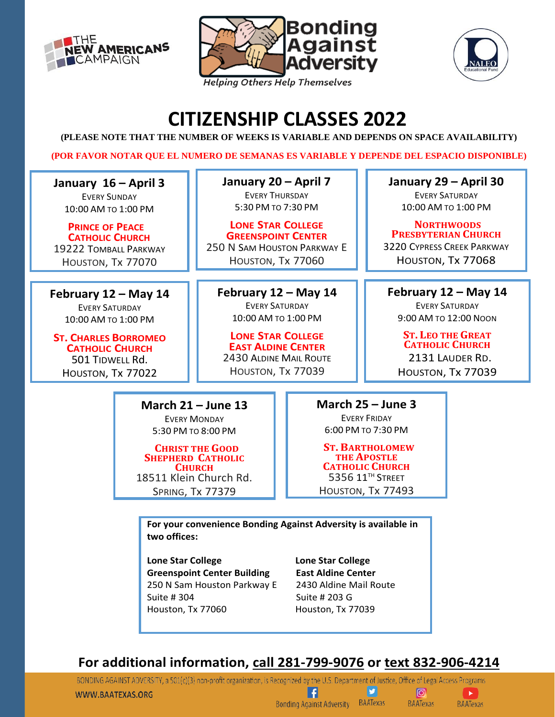





# **CITIZENSHIP CLASSES 2022**

**(PLEASE NOTE THAT THE NUMBER OF WEEKS IS VARIABLE AND DEPENDS ON SPACE AVAILABILITY)**

**(POR FAVOR NOTAR QUE EL NUMERO DE SEMANAS ES VARIABLE Y DEPENDE DEL ESPACIO DISPONIBLE)**

**January 16 – April 3** EVERY SUNDAY 10:00 AM TO 1:00 PM

**PRINCE OF PEACE CATHOLIC CHURCH** 19222 TOMBALL PARKWAY HOUSTON, Tx 77070

**February 12 – May 14** EVERY SATURDAY 10:00 AM TO 1:00 PM

**ST. CHARLES BORROMEO CATHOLIC CHURCH** 501 TIDWELL Rd. HOUSTON, Tx 77022

**January 20 – April 7** EVERY THURSDAY 5:30 PM TO 7:30 PM

**LONE STAR COLLEGE GREENSPOINT CENTER**  250 N SAM HOUSTON PARKWAY E HOUSTON, Tx 77060

**February 12 – May 14** EVERY SATURDAY 10:00 AM TO 1:00 PM

**LONE STAR COLLEGE EAST ALDINE CENTER** 2430 ALDINE MAIL ROUTE HOUSTON, Tx 77039

**January 29 – April 30** EVERY SATURDAY 10:00 AM TO 1:00 PM

**NORTHWOODS PRESBYTERIAN CHURCH** 3220 CYPRESS CREEK PARKWAY HOUSTON, Tx 77068

**February 12 – May 14**

EVERY SATURDAY 9:00 AM TO 12:00 NOON

**ST. LEO THE GREAT CATHOLIC CHURCH** 2131 LAUDER RD. HOUSTON, Tx 77039

**March 21 – June 13** EVERY MONDAY

5:30 PM TO 8:00 PM

**CHRIST THE GOOD SHEPHERD CATHOLIC CHURCH** 18511 Klein Church Rd. SPRING, Tx 77379

**March 25 – June 3**

EVERY FRIDAY 6:00 PM TO 7:30 PM

**ST. BARTHOLOMEW THE APOSTLE CATHOLIC CHURCH** 5356 11TH STREET HOUSTON, Tx 77493

**For your convenience Bonding Against Adversity is available in two offices:**

**Lone Star College Lone Star College Greenspoint Center Building East Aldine Center** 250 N Sam Houston Parkway E 2430 Aldine Mail Route Suite # 304 Suite # 203 G Houston, Tx 77060 Houston, Tx 77039

**For additional information, call 281-799-9076 or text 832-906-4214** F

BONDING AGAINST ADVERSITY, a 501(c)(3) non-profit organization, is Recognized by the U.S. Department of Justice, Office of Legal Access Programs v  $\overline{O}$ WWW.BAATEXAS.ORG **Bonding Against Adversity BAATexas BAATexas BAATexas**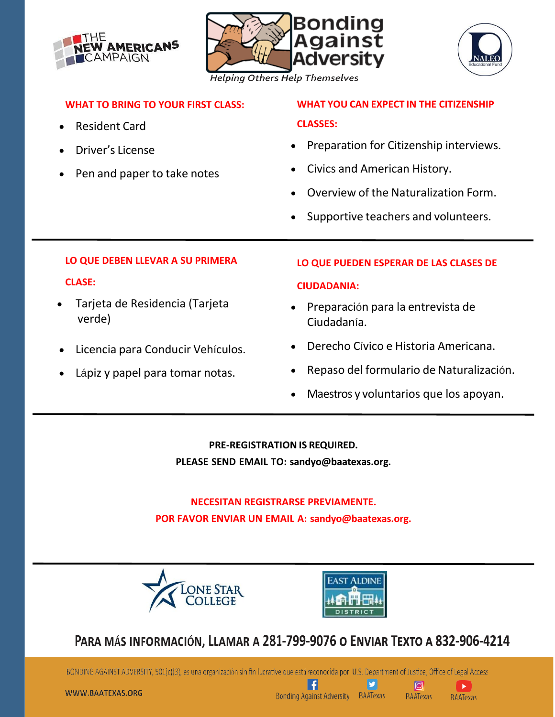





**WHAT TO BRING TO YOUR FIRST CLASS:**

- Resident Card
- Driver's License
- Pen and paper to take notes

**WHAT YOU CAN EXPECT IN THE CITIZENSHIP** 

#### **CLASSES:**

- Preparation for Citizenship interviews.
- Civics and American History.
- Overview of the Naturalization Form.
- Supportive teachers and volunteers.

### **LO QUE DEBEN LLEVAR A SU PRIMERA**

#### **CLASE:**

- Tarjeta de Residencia (Tarjeta verde)
- Licencia para Conducir Vehículos.
- Lápiz y papel para tomar notas.

### **LO QUE PUEDEN ESPERAR DE LAS CLASES DE**

#### **CIUDADANIA:**

- Preparación para la entrevista de Ciudadanía.
- Derecho Cívico e Historia Americana.
- Repaso del formulario de Naturalización.
- Maestros y voluntarios que los apoyan.

### **PRE-REGISTRATION IS REQUIRED. PLEASE SEND EMAIL TO: [sandyo@baatexas.org.](mailto:sandyo@baatexas.org)**

## **NECESITAN REGISTRARSE PREVIAMENTE. POR FAVOR ENVIAR UN EMAIL A: [sandyo@baatexas.org.](mailto:sandyo@baatexas.org)**





# PARA MÁS INFORMACIÓN, LLAMAR A 281-799-9076 O ENVIAR TEXTO A 832-906-4214

BONDING AGAINST ADVERSITY, 501(c)(3), es una organización sin fin lucrative que está reconocida por U.S. Department of Justice, Office of Legal Access

WWW.BAATEXAS.ORG

Bonding Against Adversity BAATexas